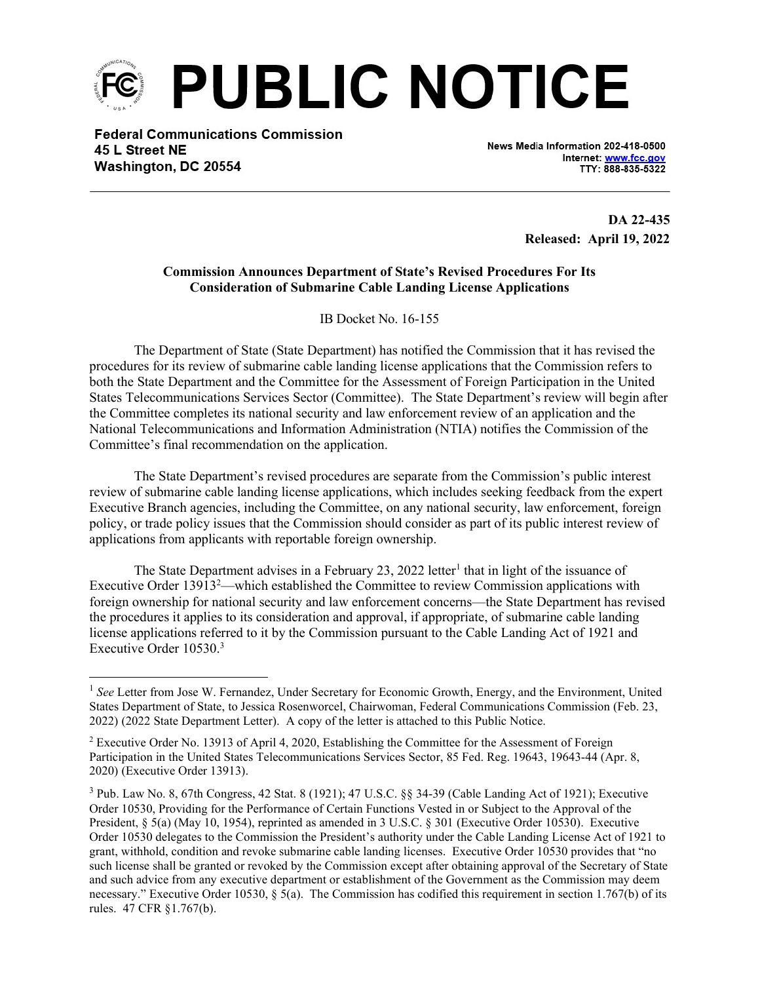

**Federal Communications Commission** 45 L Street NE Washington, DC 20554

News Media Information 202-418-0500 Internet: www.fcc.gov TTY: 888-835-5322

 DA 22-435 Released: April 19, 2022

## Commission Announces Department of State's Revised Procedures For Its Consideration of Submarine Cable Landing License Applications

IB Docket No. 16-155

The Department of State (State Department) has notified the Commission that it has revised the procedures for its review of submarine cable landing license applications that the Commission refers to both the State Department and the Committee for the Assessment of Foreign Participation in the United States Telecommunications Services Sector (Committee). The State Department's review will begin after the Committee completes its national security and law enforcement review of an application and the National Telecommunications and Information Administration (NTIA) notifies the Commission of the Committee's final recommendation on the application.

The State Department's revised procedures are separate from the Commission's public interest review of submarine cable landing license applications, which includes seeking feedback from the expert Executive Branch agencies, including the Committee, on any national security, law enforcement, foreign policy, or trade policy issues that the Commission should consider as part of its public interest review of applications from applicants with reportable foreign ownership.

The State Department advises in a February 23, 2022 letter<sup>1</sup> that in light of the issuance of Executive Order 13913<sup>2</sup>—which established the Committee to review Commission applications with foreign ownership for national security and law enforcement concerns—the State Department has revised the procedures it applies to its consideration and approval, if appropriate, of submarine cable landing license applications referred to it by the Commission pursuant to the Cable Landing Act of 1921 and Executive Order 10530.<sup>3</sup>

<sup>&</sup>lt;sup>1</sup> See Letter from Jose W. Fernandez, Under Secretary for Economic Growth, Energy, and the Environment, United States Department of State, to Jessica Rosenworcel, Chairwoman, Federal Communications Commission (Feb. 23, 2022) (2022 State Department Letter). A copy of the letter is attached to this Public Notice.

 $2$  Executive Order No. 13913 of April 4, 2020, Establishing the Committee for the Assessment of Foreign Participation in the United States Telecommunications Services Sector, 85 Fed. Reg. 19643, 19643-44 (Apr. 8, 2020) (Executive Order 13913).

 $3$  Pub. Law No. 8, 67th Congress, 42 Stat. 8 (1921); 47 U.S.C. §§ 34-39 (Cable Landing Act of 1921); Executive Order 10530, Providing for the Performance of Certain Functions Vested in or Subject to the Approval of the President, § 5(a) (May 10, 1954), reprinted as amended in 3 U.S.C. § 301 (Executive Order 10530). Executive Order 10530 delegates to the Commission the President's authority under the Cable Landing License Act of 1921 to grant, withhold, condition and revoke submarine cable landing licenses. Executive Order 10530 provides that "no such license shall be granted or revoked by the Commission except after obtaining approval of the Secretary of State and such advice from any executive department or establishment of the Government as the Commission may deem necessary." Executive Order 10530, § 5(a). The Commission has codified this requirement in section 1.767(b) of its rules. 47 CFR §1.767(b).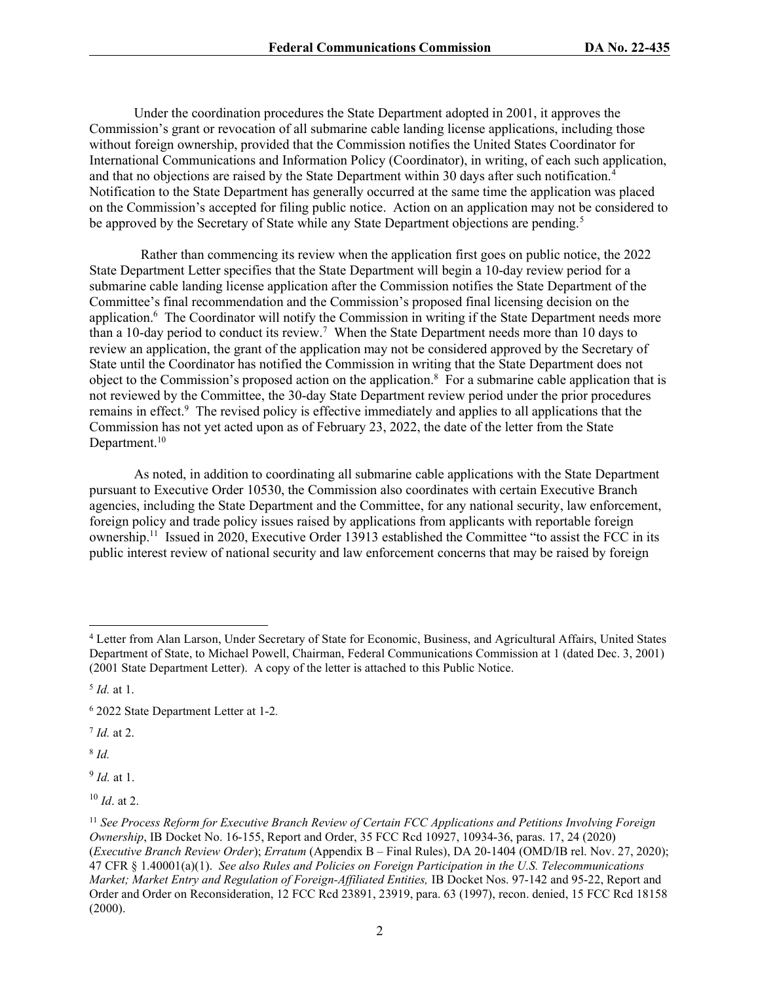Under the coordination procedures the State Department adopted in 2001, it approves the Commission's grant or revocation of all submarine cable landing license applications, including those without foreign ownership, provided that the Commission notifies the United States Coordinator for International Communications and Information Policy (Coordinator), in writing, of each such application, and that no objections are raised by the State Department within 30 days after such notification.<sup>4</sup> Notification to the State Department has generally occurred at the same time the application was placed on the Commission's accepted for filing public notice. Action on an application may not be considered to be approved by the Secretary of State while any State Department objections are pending.<sup>5</sup>

 Rather than commencing its review when the application first goes on public notice, the 2022 State Department Letter specifies that the State Department will begin a 10-day review period for a submarine cable landing license application after the Commission notifies the State Department of the Committee's final recommendation and the Commission's proposed final licensing decision on the application.<sup>6</sup> The Coordinator will notify the Commission in writing if the State Department needs more than a 10-day period to conduct its review.<sup>7</sup> When the State Department needs more than 10 days to review an application, the grant of the application may not be considered approved by the Secretary of State until the Coordinator has notified the Commission in writing that the State Department does not object to the Commission's proposed action on the application.<sup>8</sup> For a submarine cable application that is not reviewed by the Committee, the 30-day State Department review period under the prior procedures remains in effect.<sup>9</sup> The revised policy is effective immediately and applies to all applications that the Commission has not yet acted upon as of February 23, 2022, the date of the letter from the State Department.<sup>10</sup>

As noted, in addition to coordinating all submarine cable applications with the State Department pursuant to Executive Order 10530, the Commission also coordinates with certain Executive Branch agencies, including the State Department and the Committee, for any national security, law enforcement, foreign policy and trade policy issues raised by applications from applicants with reportable foreign ownership.<sup>11</sup> Issued in 2020, Executive Order 13913 established the Committee "to assist the FCC in its public interest review of national security and law enforcement concerns that may be raised by foreign

 $^7$  *Id.* at 2.

 $8$  Id.

 $9$  *Id.* at 1.

 $10$  *Id.* at 2.

<sup>4</sup> Letter from Alan Larson, Under Secretary of State for Economic, Business, and Agricultural Affairs, United States Department of State, to Michael Powell, Chairman, Federal Communications Commission at 1 (dated Dec. 3, 2001) (2001 State Department Letter). A copy of the letter is attached to this Public Notice.

<sup>&</sup>lt;sup>5</sup> *Id.* at 1.

<sup>6</sup> 2022 State Department Letter at 1-2.

 $11$  See Process Reform for Executive Branch Review of Certain FCC Applications and Petitions Involving Foreign Ownership, IB Docket No. 16-155, Report and Order, 35 FCC Rcd 10927, 10934-36, paras. 17, 24 (2020) (Executive Branch Review Order); Erratum (Appendix B – Final Rules), DA 20-1404 (OMD/IB rel. Nov. 27, 2020); 47 CFR § 1.40001(a)(1). See also Rules and Policies on Foreign Participation in the U.S. Telecommunications Market; Market Entry and Regulation of Foreign-Affiliated Entities, IB Docket Nos. 97-142 and 95-22, Report and Order and Order on Reconsideration, 12 FCC Rcd 23891, 23919, para. 63 (1997), recon. denied, 15 FCC Rcd 18158 (2000).